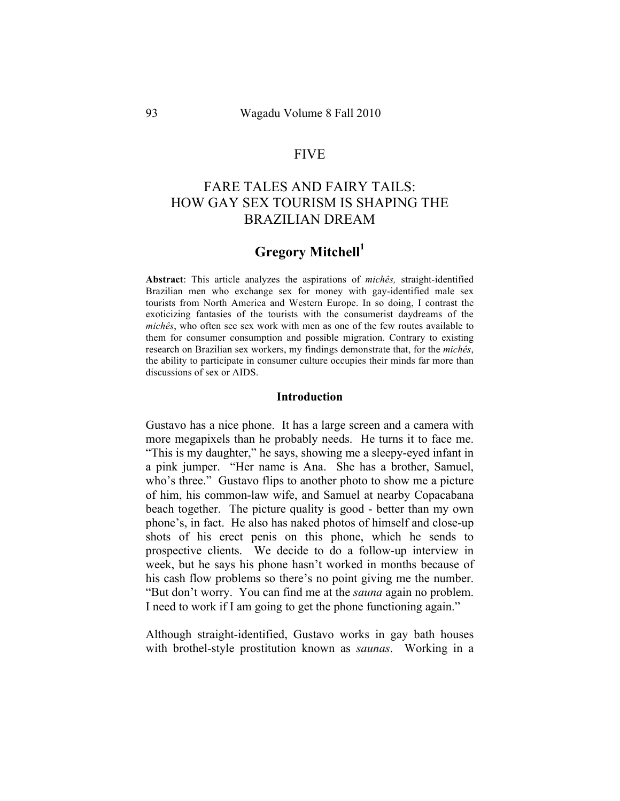# FIVE

# FARE TALES AND FAIRY TAILS: HOW GAY SEX TOURISM IS SHAPING THE BRAZILIAN DREAM

# **Gregory Mitchell<sup>1</sup>**

**Abstract**: This article analyzes the aspirations of *michês,* straight-identified Brazilian men who exchange sex for money with gay-identified male sex tourists from North America and Western Europe. In so doing, I contrast the exoticizing fantasies of the tourists with the consumerist daydreams of the *michês*, who often see sex work with men as one of the few routes available to them for consumer consumption and possible migration. Contrary to existing research on Brazilian sex workers, my findings demonstrate that, for the *michês*, the ability to participate in consumer culture occupies their minds far more than discussions of sex or AIDS.

#### **Introduction**

Gustavo has a nice phone. It has a large screen and a camera with more megapixels than he probably needs. He turns it to face me. "This is my daughter," he says, showing me a sleepy-eyed infant in a pink jumper. "Her name is Ana. She has a brother, Samuel, who's three." Gustavo flips to another photo to show me a picture of him, his common-law wife, and Samuel at nearby Copacabana beach together. The picture quality is good - better than my own phone's, in fact. He also has naked photos of himself and close-up shots of his erect penis on this phone, which he sends to prospective clients. We decide to do a follow-up interview in week, but he says his phone hasn't worked in months because of his cash flow problems so there's no point giving me the number. "But don't worry. You can find me at the *sauna* again no problem. I need to work if I am going to get the phone functioning again."

Although straight-identified, Gustavo works in gay bath houses with brothel-style prostitution known as *saunas*. Working in a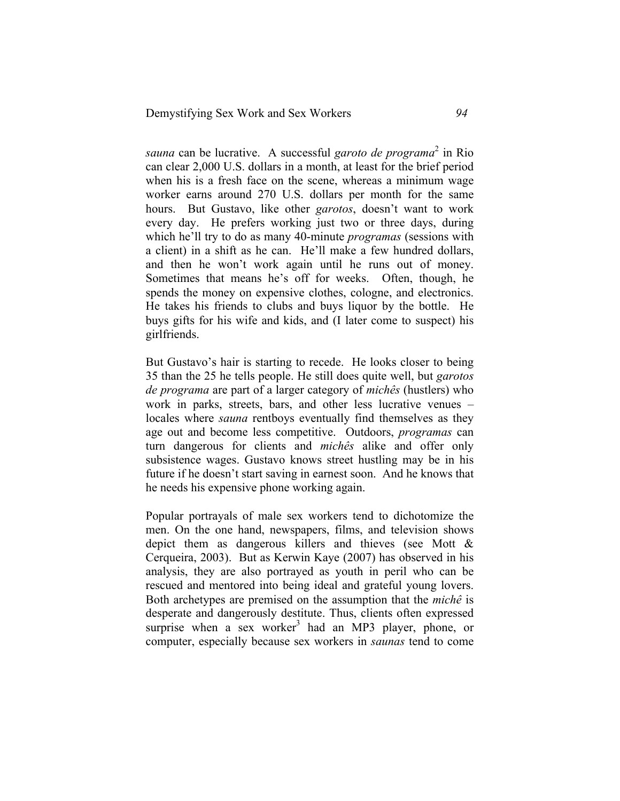*sauna* can be lucrative. A successful *garoto de programa*<sup>2</sup> in Rio can clear 2,000 U.S. dollars in a month, at least for the brief period when his is a fresh face on the scene, whereas a minimum wage worker earns around 270 U.S. dollars per month for the same hours. But Gustavo, like other *garotos*, doesn't want to work every day. He prefers working just two or three days, during which he'll try to do as many 40-minute *programas* (sessions with a client) in a shift as he can. He'll make a few hundred dollars, and then he won't work again until he runs out of money. Sometimes that means he's off for weeks. Often, though, he spends the money on expensive clothes, cologne, and electronics. He takes his friends to clubs and buys liquor by the bottle. He buys gifts for his wife and kids, and (I later come to suspect) his girlfriends.

But Gustavo's hair is starting to recede. He looks closer to being 35 than the 25 he tells people. He still does quite well, but *garotos de programa* are part of a larger category of *michês* (hustlers) who work in parks, streets, bars, and other less lucrative venues – locales where *sauna* rentboys eventually find themselves as they age out and become less competitive. Outdoors, *programas* can turn dangerous for clients and *michês* alike and offer only subsistence wages. Gustavo knows street hustling may be in his future if he doesn't start saving in earnest soon. And he knows that he needs his expensive phone working again.

Popular portrayals of male sex workers tend to dichotomize the men. On the one hand, newspapers, films, and television shows depict them as dangerous killers and thieves (see Mott & Cerqueira, 2003). But as Kerwin Kaye (2007) has observed in his analysis, they are also portrayed as youth in peril who can be rescued and mentored into being ideal and grateful young lovers. Both archetypes are premised on the assumption that the *michê* is desperate and dangerously destitute. Thus, clients often expressed surprise when a sex worker<sup>3</sup> had an MP3 player, phone, or computer, especially because sex workers in *saunas* tend to come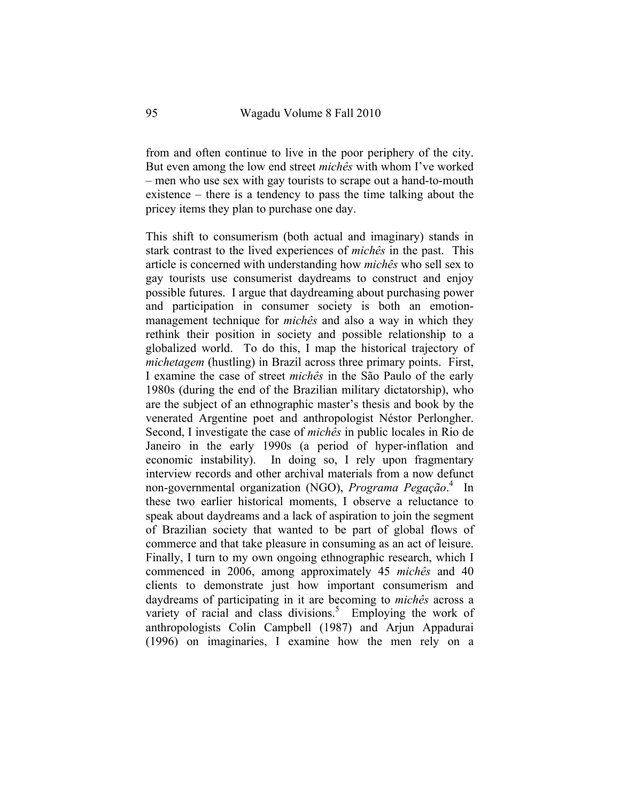from and often continue to live in the poor periphery of the city. But even among the low end street *michês* with whom I've worked – men who use sex with gay tourists to scrape out a hand-to-mouth existence – there is a tendency to pass the time talking about the pricey items they plan to purchase one day.

This shift to consumerism (both actual and imaginary) stands in stark contrast to the lived experiences of *michês* in the past. This article is concerned with understanding how *michês* who sell sex to gay tourists use consumerist daydreams to construct and enjoy possible futures. I argue that daydreaming about purchasing power and participation in consumer society is both an emotionmanagement technique for *michês* and also a way in which they rethink their position in society and possible relationship to a globalized world. To do this, I map the historical trajectory of *michetagem* (hustling) in Brazil across three primary points. First, I examine the case of street *michês* in the São Paulo of the early 1980s (during the end of the Brazilian military dictatorship), who are the subject of an ethnographic master's thesis and book by the venerated Argentine poet and anthropologist Néstor Perlongher. Second, I investigate the case of *michês* in public locales in Rio de Janeiro in the early 1990s (a period of hyper-inflation and economic instability). In doing so, I rely upon fragmentary interview records and other archival materials from a now defunct non-governmental organization (NGO), *Programa Pegação*. 4 In these two earlier historical moments, I observe a reluctance to speak about daydreams and a lack of aspiration to join the segment of Brazilian society that wanted to be part of global flows of commerce and that take pleasure in consuming as an act of leisure. Finally, I turn to my own ongoing ethnographic research, which I commenced in 2006, among approximately 45 *michês* and 40 clients to demonstrate just how important consumerism and daydreams of participating in it are becoming to *michês* across a variety of racial and class divisions.<sup>5</sup> Employing the work of anthropologists Colin Campbell (1987) and Arjun Appadurai (1996) on imaginaries, I examine how the men rely on a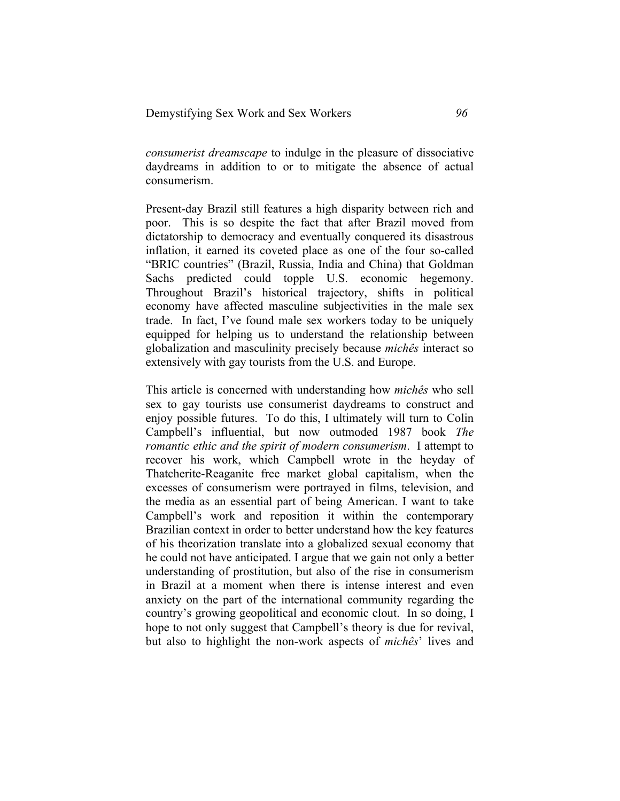*consumerist dreamscape* to indulge in the pleasure of dissociative daydreams in addition to or to mitigate the absence of actual consumerism.

Present-day Brazil still features a high disparity between rich and poor. This is so despite the fact that after Brazil moved from dictatorship to democracy and eventually conquered its disastrous inflation, it earned its coveted place as one of the four so-called "BRIC countries" (Brazil, Russia, India and China) that Goldman Sachs predicted could topple U.S. economic hegemony. Throughout Brazil's historical trajectory, shifts in political economy have affected masculine subjectivities in the male sex trade. In fact, I've found male sex workers today to be uniquely equipped for helping us to understand the relationship between globalization and masculinity precisely because *michês* interact so extensively with gay tourists from the U.S. and Europe.

This article is concerned with understanding how *michês* who sell sex to gay tourists use consumerist daydreams to construct and enjoy possible futures. To do this, I ultimately will turn to Colin Campbell's influential, but now outmoded 1987 book *The romantic ethic and the spirit of modern consumerism*. I attempt to recover his work, which Campbell wrote in the heyday of Thatcherite-Reaganite free market global capitalism, when the excesses of consumerism were portrayed in films, television, and the media as an essential part of being American. I want to take Campbell's work and reposition it within the contemporary Brazilian context in order to better understand how the key features of his theorization translate into a globalized sexual economy that he could not have anticipated. I argue that we gain not only a better understanding of prostitution, but also of the rise in consumerism in Brazil at a moment when there is intense interest and even anxiety on the part of the international community regarding the country's growing geopolitical and economic clout. In so doing, I hope to not only suggest that Campbell's theory is due for revival, but also to highlight the non-work aspects of *michês*' lives and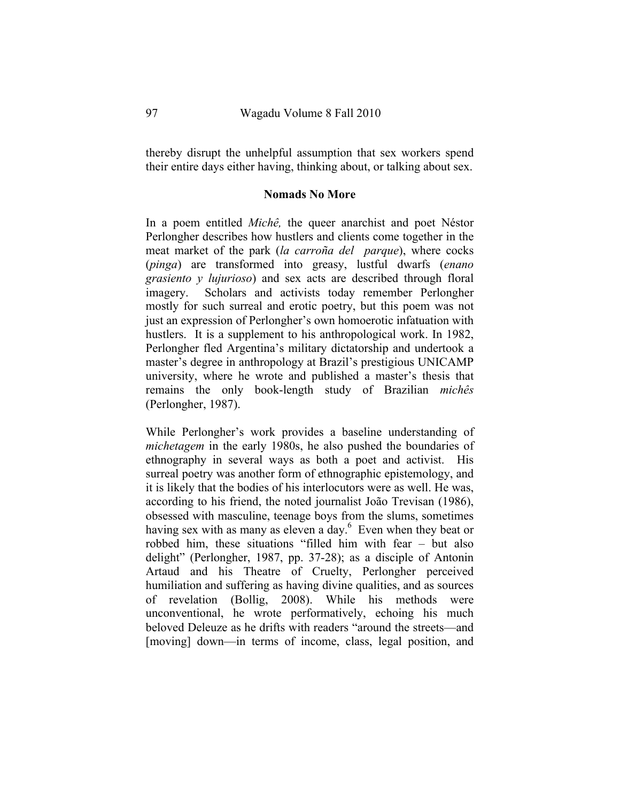thereby disrupt the unhelpful assumption that sex workers spend their entire days either having, thinking about, or talking about sex.

### **Nomads No More**

In a poem entitled *Michê,* the queer anarchist and poet Néstor Perlongher describes how hustlers and clients come together in the meat market of the park (*la carroña del parque*), where cocks (*pinga*) are transformed into greasy, lustful dwarfs (*enano grasiento y lujurioso*) and sex acts are described through floral imagery. Scholars and activists today remember Perlongher mostly for such surreal and erotic poetry, but this poem was not just an expression of Perlongher's own homoerotic infatuation with hustlers. It is a supplement to his anthropological work. In 1982, Perlongher fled Argentina's military dictatorship and undertook a master's degree in anthropology at Brazil's prestigious UNICAMP university, where he wrote and published a master's thesis that remains the only book-length study of Brazilian *michês*  (Perlongher, 1987).

While Perlongher's work provides a baseline understanding of *michetagem* in the early 1980s, he also pushed the boundaries of ethnography in several ways as both a poet and activist. His surreal poetry was another form of ethnographic epistemology, and it is likely that the bodies of his interlocutors were as well. He was, according to his friend, the noted journalist João Trevisan (1986), obsessed with masculine, teenage boys from the slums, sometimes having sex with as many as eleven a day. $6\,$  Even when they beat or robbed him, these situations "filled him with fear – but also delight" (Perlongher, 1987, pp. 37-28); as a disciple of Antonin Artaud and his Theatre of Cruelty, Perlongher perceived humiliation and suffering as having divine qualities, and as sources of revelation (Bollig, 2008). While his methods were unconventional, he wrote performatively, echoing his much beloved Deleuze as he drifts with readers "around the streets—and [moving] down—in terms of income, class, legal position, and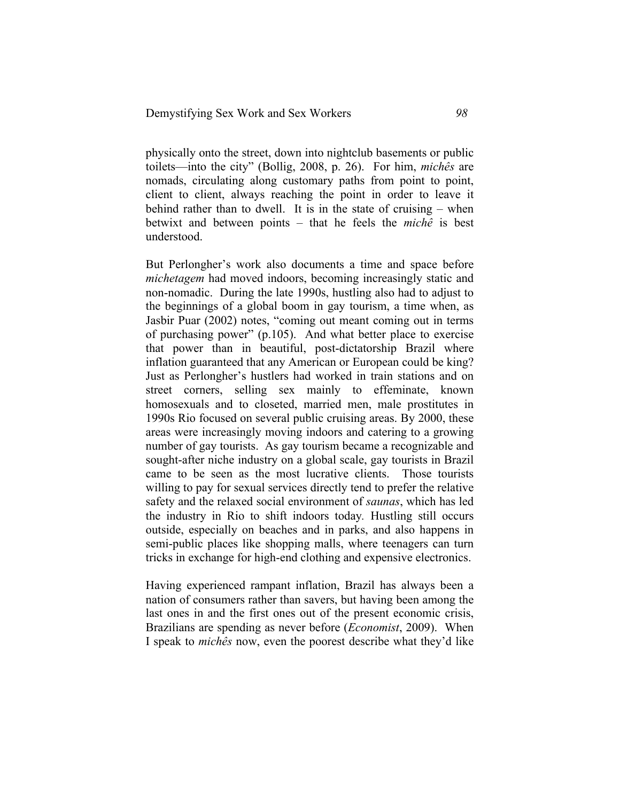physically onto the street, down into nightclub basements or public toilets—into the city" (Bollig, 2008, p. 26). For him, *michês* are nomads, circulating along customary paths from point to point, client to client, always reaching the point in order to leave it behind rather than to dwell. It is in the state of cruising – when betwixt and between points – that he feels the *michê* is best understood.

But Perlongher's work also documents a time and space before *michetagem* had moved indoors, becoming increasingly static and non-nomadic. During the late 1990s, hustling also had to adjust to the beginnings of a global boom in gay tourism, a time when, as Jasbir Puar (2002) notes, "coming out meant coming out in terms of purchasing power" (p.105). And what better place to exercise that power than in beautiful, post-dictatorship Brazil where inflation guaranteed that any American or European could be king? Just as Perlongher's hustlers had worked in train stations and on street corners, selling sex mainly to effeminate, known homosexuals and to closeted, married men, male prostitutes in 1990s Rio focused on several public cruising areas. By 2000, these areas were increasingly moving indoors and catering to a growing number of gay tourists. As gay tourism became a recognizable and sought-after niche industry on a global scale, gay tourists in Brazil came to be seen as the most lucrative clients. Those tourists willing to pay for sexual services directly tend to prefer the relative safety and the relaxed social environment of *saunas*, which has led the industry in Rio to shift indoors today*.* Hustling still occurs outside, especially on beaches and in parks, and also happens in semi-public places like shopping malls, where teenagers can turn tricks in exchange for high-end clothing and expensive electronics.

Having experienced rampant inflation, Brazil has always been a nation of consumers rather than savers, but having been among the last ones in and the first ones out of the present economic crisis, Brazilians are spending as never before (*Economist*, 2009). When I speak to *michês* now, even the poorest describe what they'd like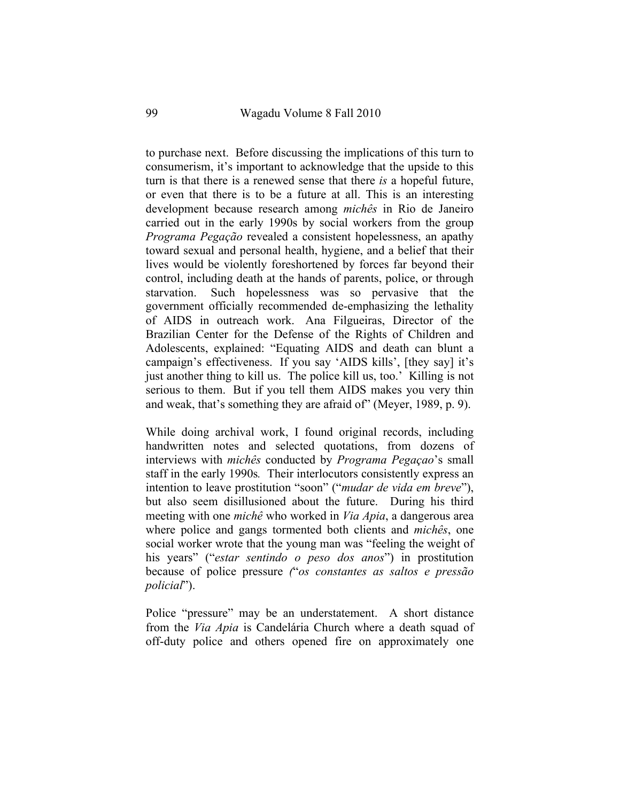to purchase next. Before discussing the implications of this turn to consumerism, it's important to acknowledge that the upside to this turn is that there is a renewed sense that there *is* a hopeful future, or even that there is to be a future at all. This is an interesting development because research among *michês* in Rio de Janeiro carried out in the early 1990s by social workers from the group *Programa Pegação* revealed a consistent hopelessness, an apathy toward sexual and personal health, hygiene, and a belief that their lives would be violently foreshortened by forces far beyond their control, including death at the hands of parents, police, or through starvation. Such hopelessness was so pervasive that the government officially recommended de-emphasizing the lethality of AIDS in outreach work. Ana Filgueiras, Director of the Brazilian Center for the Defense of the Rights of Children and Adolescents, explained: "Equating AIDS and death can blunt a campaign's effectiveness. If you say 'AIDS kills', [they say] it's just another thing to kill us. The police kill us, too.' Killing is not serious to them. But if you tell them AIDS makes you very thin and weak, that's something they are afraid of" (Meyer, 1989, p. 9).

While doing archival work, I found original records, including handwritten notes and selected quotations, from dozens of interviews with *michês* conducted by *Programa Pegaçao*'s small staff in the early 1990s*.* Their interlocutors consistently express an intention to leave prostitution "soon" ("*mudar de vida em breve*"), but also seem disillusioned about the future. During his third meeting with one *michê* who worked in *Via Apia*, a dangerous area where police and gangs tormented both clients and *michês*, one social worker wrote that the young man was "feeling the weight of his years" ("*estar sentindo o peso dos anos*") in prostitution because of police pressure *(*"*os constantes as saltos e pressão policial*").

Police "pressure" may be an understatement. A short distance from the *Via Apia* is Candelária Church where a death squad of off-duty police and others opened fire on approximately one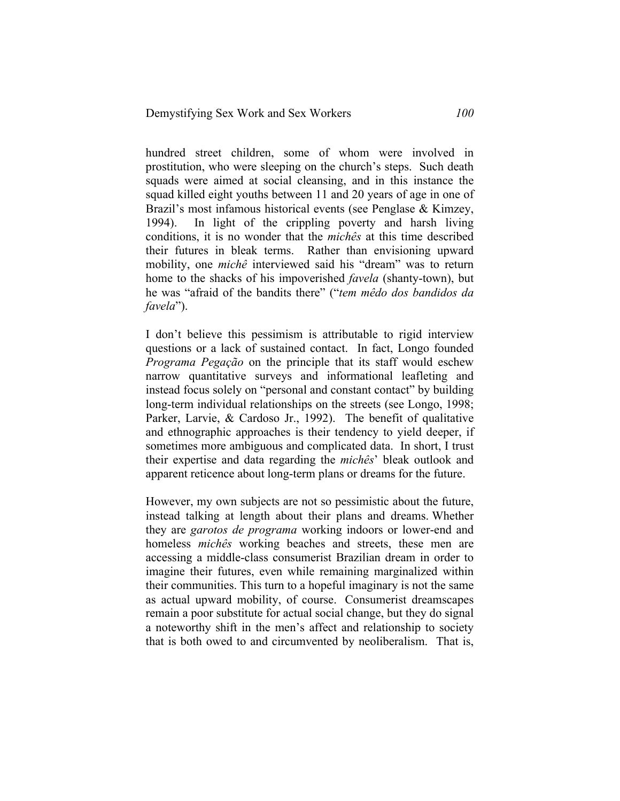hundred street children, some of whom were involved in prostitution, who were sleeping on the church's steps. Such death squads were aimed at social cleansing, and in this instance the squad killed eight youths between 11 and 20 years of age in one of Brazil's most infamous historical events (see Penglase & Kimzey, 1994). In light of the crippling poverty and harsh living conditions, it is no wonder that the *michês* at this time described their futures in bleak terms. Rather than envisioning upward mobility, one *michê* interviewed said his "dream" was to return home to the shacks of his impoverished *favela* (shanty-town), but he was "afraid of the bandits there" ("*tem mêdo dos bandidos da favela*").

I don't believe this pessimism is attributable to rigid interview questions or a lack of sustained contact. In fact, Longo founded *Programa Pegação* on the principle that its staff would eschew narrow quantitative surveys and informational leafleting and instead focus solely on "personal and constant contact" by building long-term individual relationships on the streets (see Longo, 1998; Parker, Larvie, & Cardoso Jr., 1992). The benefit of qualitative and ethnographic approaches is their tendency to yield deeper, if sometimes more ambiguous and complicated data. In short, I trust their expertise and data regarding the *michês*' bleak outlook and apparent reticence about long-term plans or dreams for the future.

However, my own subjects are not so pessimistic about the future, instead talking at length about their plans and dreams. Whether they are *garotos de programa* working indoors or lower-end and homeless *michês* working beaches and streets, these men are accessing a middle-class consumerist Brazilian dream in order to imagine their futures, even while remaining marginalized within their communities. This turn to a hopeful imaginary is not the same as actual upward mobility, of course. Consumerist dreamscapes remain a poor substitute for actual social change, but they do signal a noteworthy shift in the men's affect and relationship to society that is both owed to and circumvented by neoliberalism. That is,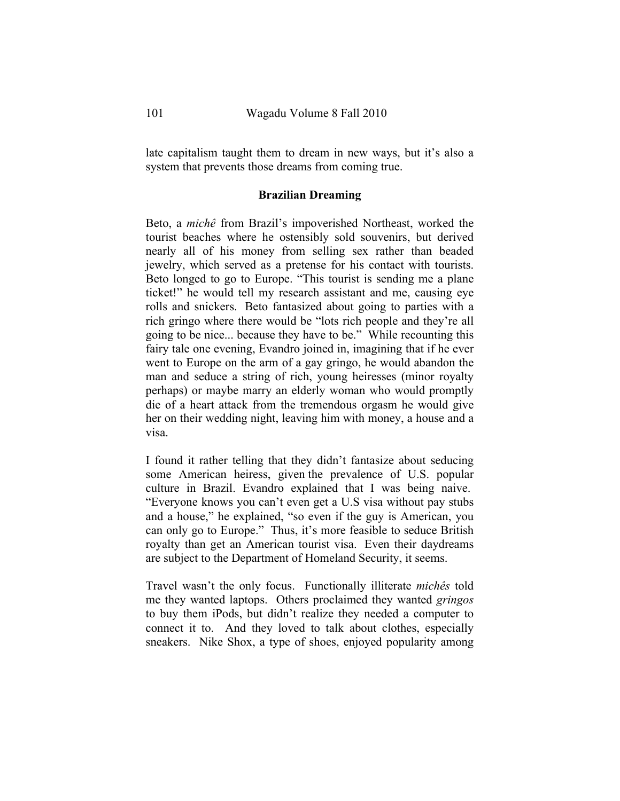late capitalism taught them to dream in new ways, but it's also a system that prevents those dreams from coming true.

### **Brazilian Dreaming**

Beto, a *michê* from Brazil's impoverished Northeast, worked the tourist beaches where he ostensibly sold souvenirs, but derived nearly all of his money from selling sex rather than beaded jewelry, which served as a pretense for his contact with tourists. Beto longed to go to Europe. "This tourist is sending me a plane ticket!" he would tell my research assistant and me, causing eye rolls and snickers. Beto fantasized about going to parties with a rich gringo where there would be "lots rich people and they're all going to be nice... because they have to be." While recounting this fairy tale one evening, Evandro joined in, imagining that if he ever went to Europe on the arm of a gay gringo, he would abandon the man and seduce a string of rich, young heiresses (minor royalty perhaps) or maybe marry an elderly woman who would promptly die of a heart attack from the tremendous orgasm he would give her on their wedding night, leaving him with money, a house and a visa.

I found it rather telling that they didn't fantasize about seducing some American heiress, given the prevalence of U.S. popular culture in Brazil. Evandro explained that I was being naive. "Everyone knows you can't even get a U.S visa without pay stubs and a house," he explained, "so even if the guy is American, you can only go to Europe." Thus, it's more feasible to seduce British royalty than get an American tourist visa. Even their daydreams are subject to the Department of Homeland Security, it seems.

Travel wasn't the only focus. Functionally illiterate *michês* told me they wanted laptops. Others proclaimed they wanted *gringos*  to buy them iPods, but didn't realize they needed a computer to connect it to. And they loved to talk about clothes, especially sneakers. Nike Shox, a type of shoes, enjoyed popularity among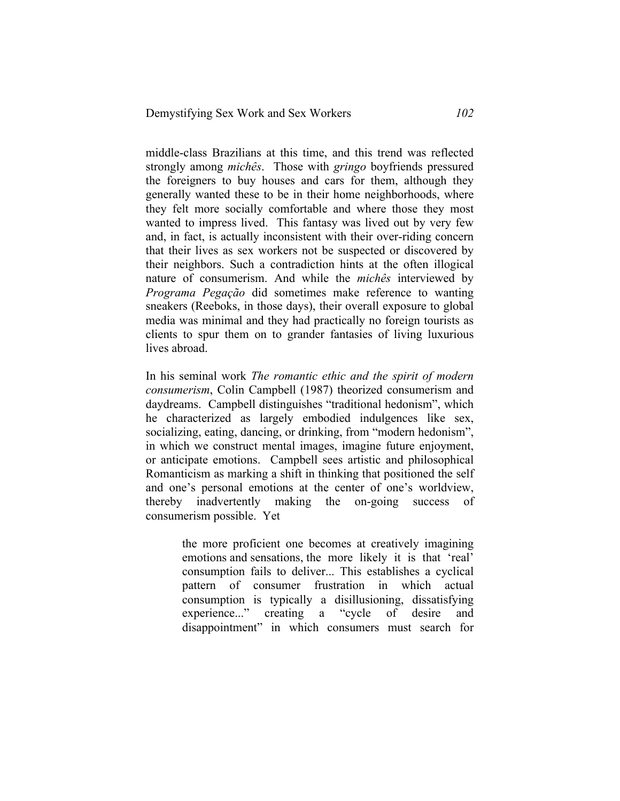middle-class Brazilians at this time, and this trend was reflected strongly among *michês*. Those with *gringo* boyfriends pressured the foreigners to buy houses and cars for them, although they generally wanted these to be in their home neighborhoods, where they felt more socially comfortable and where those they most wanted to impress lived. This fantasy was lived out by very few and, in fact, is actually inconsistent with their over-riding concern that their lives as sex workers not be suspected or discovered by their neighbors. Such a contradiction hints at the often illogical nature of consumerism. And while the *michês* interviewed by *Programa Pegação* did sometimes make reference to wanting sneakers (Reeboks, in those days), their overall exposure to global media was minimal and they had practically no foreign tourists as clients to spur them on to grander fantasies of living luxurious lives abroad.

In his seminal work *The romantic ethic and the spirit of modern consumerism*, Colin Campbell (1987) theorized consumerism and daydreams. Campbell distinguishes "traditional hedonism", which he characterized as largely embodied indulgences like sex, socializing, eating, dancing, or drinking, from "modern hedonism", in which we construct mental images, imagine future enjoyment, or anticipate emotions. Campbell sees artistic and philosophical Romanticism as marking a shift in thinking that positioned the self and one's personal emotions at the center of one's worldview, thereby inadvertently making the on-going success of consumerism possible. Yet

> the more proficient one becomes at creatively imagining emotions and sensations, the more likely it is that 'real' consumption fails to deliver... This establishes a cyclical pattern of consumer frustration in which actual consumption is typically a disillusioning, dissatisfying experience..." creating a "cycle of desire and disappointment" in which consumers must search for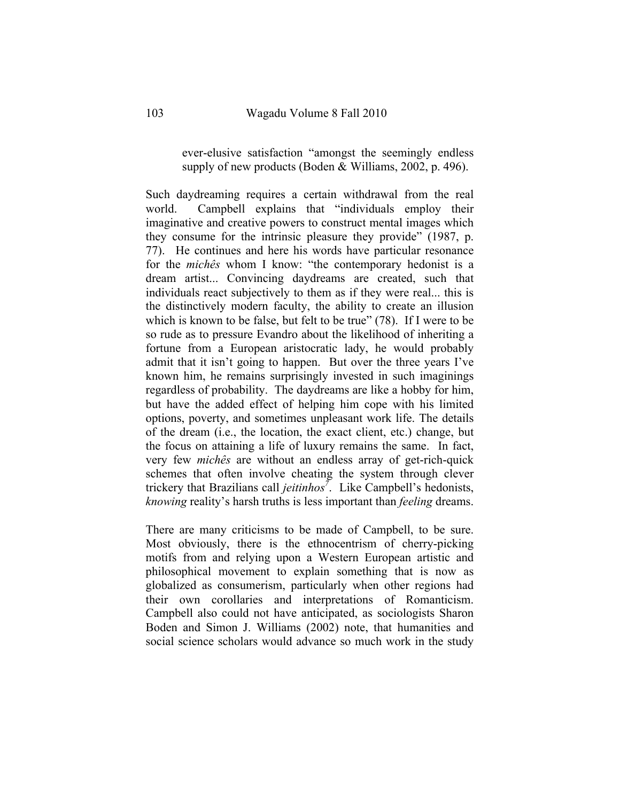ever-elusive satisfaction "amongst the seemingly endless supply of new products (Boden & Williams, 2002, p. 496).

Such daydreaming requires a certain withdrawal from the real world. Campbell explains that "individuals employ their imaginative and creative powers to construct mental images which they consume for the intrinsic pleasure they provide" (1987, p. 77). He continues and here his words have particular resonance for the *michês* whom I know: "the contemporary hedonist is a dream artist... Convincing daydreams are created, such that individuals react subjectively to them as if they were real... this is the distinctively modern faculty, the ability to create an illusion which is known to be false, but felt to be true" (78). If I were to be so rude as to pressure Evandro about the likelihood of inheriting a fortune from a European aristocratic lady, he would probably admit that it isn't going to happen. But over the three years I've known him, he remains surprisingly invested in such imaginings regardless of probability. The daydreams are like a hobby for him, but have the added effect of helping him cope with his limited options, poverty, and sometimes unpleasant work life. The details of the dream (i.e., the location, the exact client, etc.) change, but the focus on attaining a life of luxury remains the same. In fact, very few *michês* are without an endless array of get-rich-quick schemes that often involve cheating the system through clever trickery that Brazilians call *jeitinhos7* . Like Campbell's hedonists, *knowing* reality's harsh truths is less important than *feeling* dreams.

There are many criticisms to be made of Campbell, to be sure. Most obviously, there is the ethnocentrism of cherry-picking motifs from and relying upon a Western European artistic and philosophical movement to explain something that is now as globalized as consumerism, particularly when other regions had their own corollaries and interpretations of Romanticism. Campbell also could not have anticipated, as sociologists Sharon Boden and Simon J. Williams (2002) note, that humanities and social science scholars would advance so much work in the study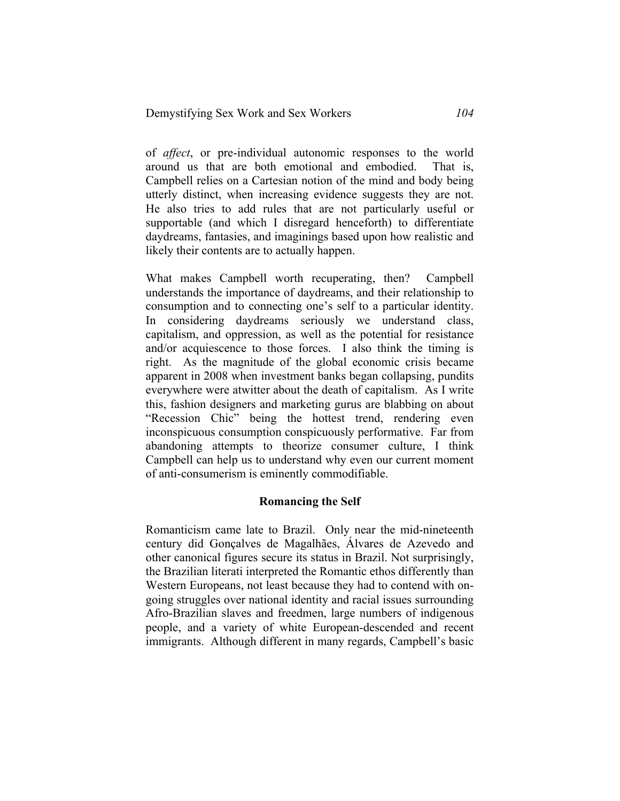of *affect*, or pre-individual autonomic responses to the world around us that are both emotional and embodied. That is, Campbell relies on a Cartesian notion of the mind and body being utterly distinct, when increasing evidence suggests they are not. He also tries to add rules that are not particularly useful or supportable (and which I disregard henceforth) to differentiate daydreams, fantasies, and imaginings based upon how realistic and likely their contents are to actually happen.

What makes Campbell worth recuperating, then? Campbell understands the importance of daydreams, and their relationship to consumption and to connecting one's self to a particular identity. In considering daydreams seriously we understand class, capitalism, and oppression, as well as the potential for resistance and/or acquiescence to those forces. I also think the timing is right. As the magnitude of the global economic crisis became apparent in 2008 when investment banks began collapsing, pundits everywhere were atwitter about the death of capitalism. As I write this, fashion designers and marketing gurus are blabbing on about "Recession Chic" being the hottest trend, rendering even inconspicuous consumption conspicuously performative. Far from abandoning attempts to theorize consumer culture, I think Campbell can help us to understand why even our current moment of anti-consumerism is eminently commodifiable.

### **Romancing the Self**

Romanticism came late to Brazil. Only near the mid-nineteenth century did Gonçalves de Magalhães, Álvares de Azevedo and other canonical figures secure its status in Brazil. Not surprisingly, the Brazilian literati interpreted the Romantic ethos differently than Western Europeans, not least because they had to contend with ongoing struggles over national identity and racial issues surrounding Afro-Brazilian slaves and freedmen, large numbers of indigenous people, and a variety of white European-descended and recent immigrants. Although different in many regards, Campbell's basic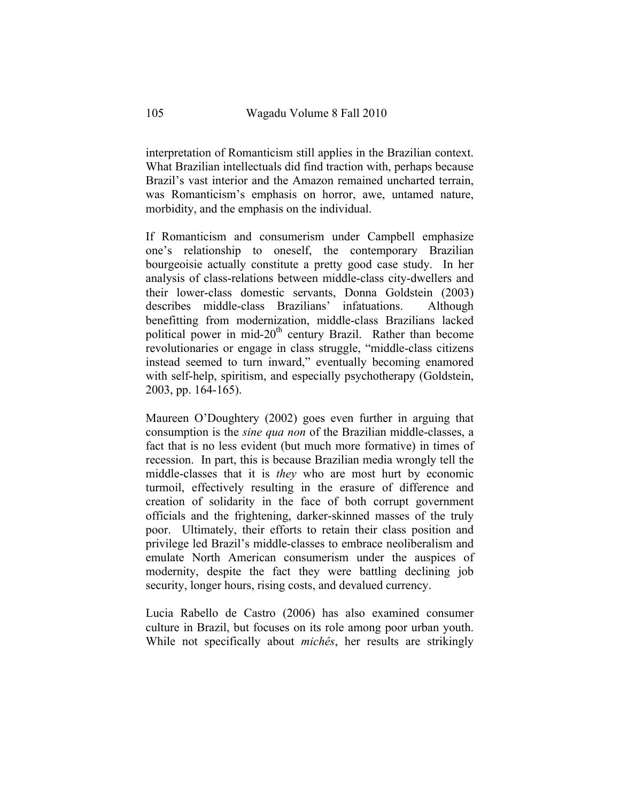interpretation of Romanticism still applies in the Brazilian context. What Brazilian intellectuals did find traction with, perhaps because Brazil's vast interior and the Amazon remained uncharted terrain, was Romanticism's emphasis on horror, awe, untamed nature, morbidity, and the emphasis on the individual.

If Romanticism and consumerism under Campbell emphasize one's relationship to oneself, the contemporary Brazilian bourgeoisie actually constitute a pretty good case study. In her analysis of class-relations between middle-class city-dwellers and their lower-class domestic servants, Donna Goldstein (2003) describes middle-class Brazilians' infatuations. Although benefitting from modernization, middle-class Brazilians lacked political power in mid-20<sup>th</sup> century Brazil. Rather than become revolutionaries or engage in class struggle, "middle-class citizens instead seemed to turn inward," eventually becoming enamored with self-help, spiritism, and especially psychotherapy (Goldstein, 2003, pp. 164-165).

Maureen O'Doughtery (2002) goes even further in arguing that consumption is the *sine qua non* of the Brazilian middle-classes, a fact that is no less evident (but much more formative) in times of recession. In part, this is because Brazilian media wrongly tell the middle-classes that it is *they* who are most hurt by economic turmoil, effectively resulting in the erasure of difference and creation of solidarity in the face of both corrupt government officials and the frightening, darker-skinned masses of the truly poor. Ultimately, their efforts to retain their class position and privilege led Brazil's middle-classes to embrace neoliberalism and emulate North American consumerism under the auspices of modernity, despite the fact they were battling declining job security, longer hours, rising costs, and devalued currency.

Lucia Rabello de Castro (2006) has also examined consumer culture in Brazil, but focuses on its role among poor urban youth. While not specifically about *michês*, her results are strikingly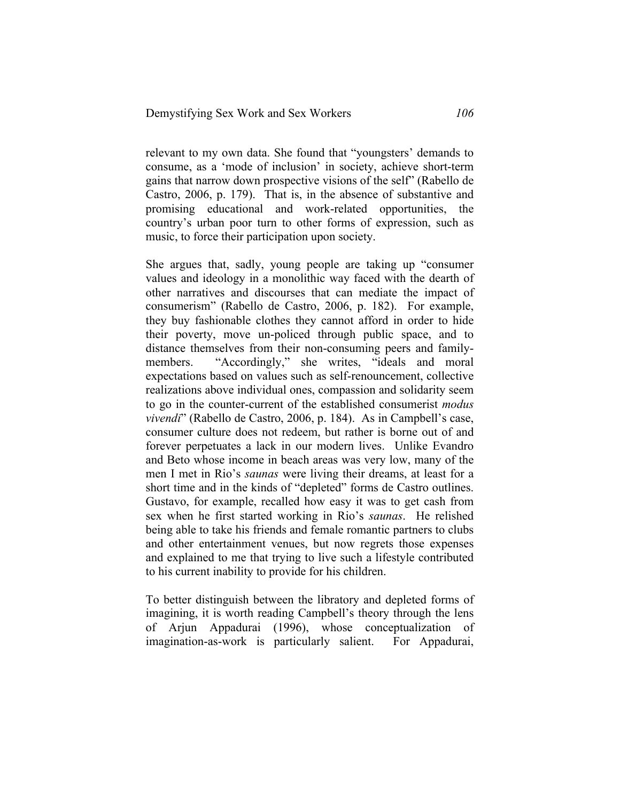relevant to my own data. She found that "youngsters' demands to consume, as a 'mode of inclusion' in society, achieve short-term gains that narrow down prospective visions of the self" (Rabello de Castro, 2006, p. 179). That is, in the absence of substantive and promising educational and work-related opportunities, the country's urban poor turn to other forms of expression, such as music, to force their participation upon society.

She argues that, sadly, young people are taking up "consumer values and ideology in a monolithic way faced with the dearth of other narratives and discourses that can mediate the impact of consumerism" (Rabello de Castro, 2006, p. 182). For example, they buy fashionable clothes they cannot afford in order to hide their poverty, move un-policed through public space, and to distance themselves from their non-consuming peers and familymembers. "Accordingly," she writes, "ideals and moral expectations based on values such as self-renouncement, collective realizations above individual ones, compassion and solidarity seem to go in the counter-current of the established consumerist *modus vivendi*" (Rabello de Castro, 2006, p. 184). As in Campbell's case, consumer culture does not redeem, but rather is borne out of and forever perpetuates a lack in our modern lives. Unlike Evandro and Beto whose income in beach areas was very low, many of the men I met in Rio's *saunas* were living their dreams, at least for a short time and in the kinds of "depleted" forms de Castro outlines. Gustavo, for example, recalled how easy it was to get cash from sex when he first started working in Rio's *saunas*. He relished being able to take his friends and female romantic partners to clubs and other entertainment venues, but now regrets those expenses and explained to me that trying to live such a lifestyle contributed to his current inability to provide for his children.

To better distinguish between the libratory and depleted forms of imagining, it is worth reading Campbell's theory through the lens of Arjun Appadurai (1996), whose conceptualization of imagination-as-work is particularly salient. For Appadurai,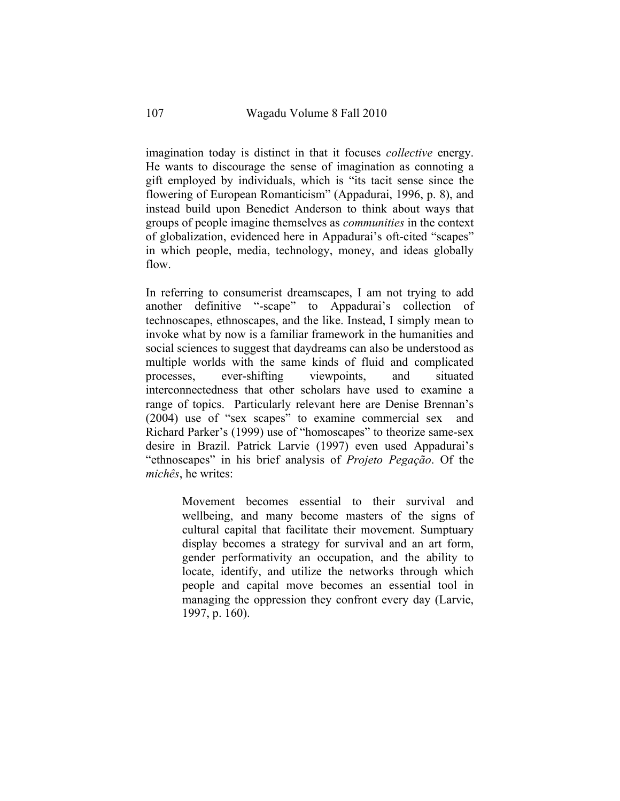imagination today is distinct in that it focuses *collective* energy. He wants to discourage the sense of imagination as connoting a gift employed by individuals, which is "its tacit sense since the flowering of European Romanticism" (Appadurai, 1996, p. 8), and instead build upon Benedict Anderson to think about ways that groups of people imagine themselves as *communities* in the context of globalization, evidenced here in Appadurai's oft-cited "scapes" in which people, media, technology, money, and ideas globally flow.

In referring to consumerist dreamscapes, I am not trying to add another definitive "-scape" to Appadurai's collection of technoscapes, ethnoscapes, and the like. Instead, I simply mean to invoke what by now is a familiar framework in the humanities and social sciences to suggest that daydreams can also be understood as multiple worlds with the same kinds of fluid and complicated processes, ever-shifting viewpoints, and situated interconnectedness that other scholars have used to examine a range of topics. Particularly relevant here are Denise Brennan's (2004) use of "sex scapes" to examine commercial sex and Richard Parker's (1999) use of "homoscapes" to theorize same-sex desire in Brazil. Patrick Larvie (1997) even used Appadurai's "ethnoscapes" in his brief analysis of *Projeto Pegação*. Of the *michês*, he writes:

> Movement becomes essential to their survival and wellbeing, and many become masters of the signs of cultural capital that facilitate their movement. Sumptuary display becomes a strategy for survival and an art form, gender performativity an occupation, and the ability to locate, identify, and utilize the networks through which people and capital move becomes an essential tool in managing the oppression they confront every day (Larvie, 1997, p. 160).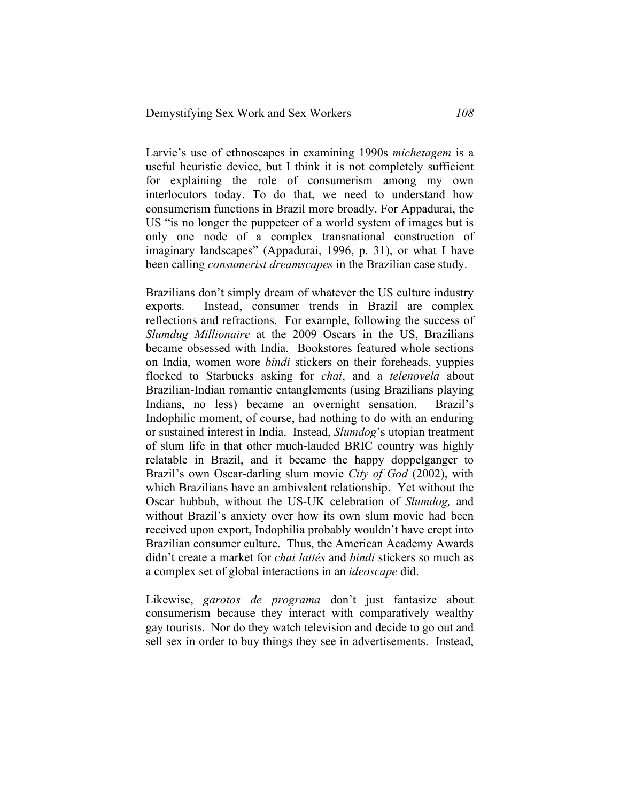Larvie's use of ethnoscapes in examining 1990s *michetagem* is a useful heuristic device, but I think it is not completely sufficient for explaining the role of consumerism among my own interlocutors today. To do that, we need to understand how consumerism functions in Brazil more broadly. For Appadurai, the US "is no longer the puppeteer of a world system of images but is only one node of a complex transnational construction of imaginary landscapes" (Appadurai, 1996, p. 31), or what I have been calling *consumerist dreamscapes* in the Brazilian case study.

Brazilians don't simply dream of whatever the US culture industry exports. Instead, consumer trends in Brazil are complex reflections and refractions. For example, following the success of *Slumdug Millionaire* at the 2009 Oscars in the US, Brazilians became obsessed with India. Bookstores featured whole sections on India, women wore *bindi* stickers on their foreheads, yuppies flocked to Starbucks asking for *chai*, and a *telenovela* about Brazilian-Indian romantic entanglements (using Brazilians playing Indians, no less) became an overnight sensation. Brazil's Indophilic moment, of course, had nothing to do with an enduring or sustained interest in India. Instead, *Slumdog*'s utopian treatment of slum life in that other much-lauded BRIC country was highly relatable in Brazil, and it became the happy doppelganger to Brazil's own Oscar-darling slum movie *City of God* (2002), with which Brazilians have an ambivalent relationship. Yet without the Oscar hubbub, without the US-UK celebration of *Slumdog,* and without Brazil's anxiety over how its own slum movie had been received upon export, Indophilia probably wouldn't have crept into Brazilian consumer culture. Thus, the American Academy Awards didn't create a market for *chai lattés* and *bindi* stickers so much as a complex set of global interactions in an *ideoscape* did.

Likewise, *garotos de programa* don't just fantasize about consumerism because they interact with comparatively wealthy gay tourists. Nor do they watch television and decide to go out and sell sex in order to buy things they see in advertisements. Instead,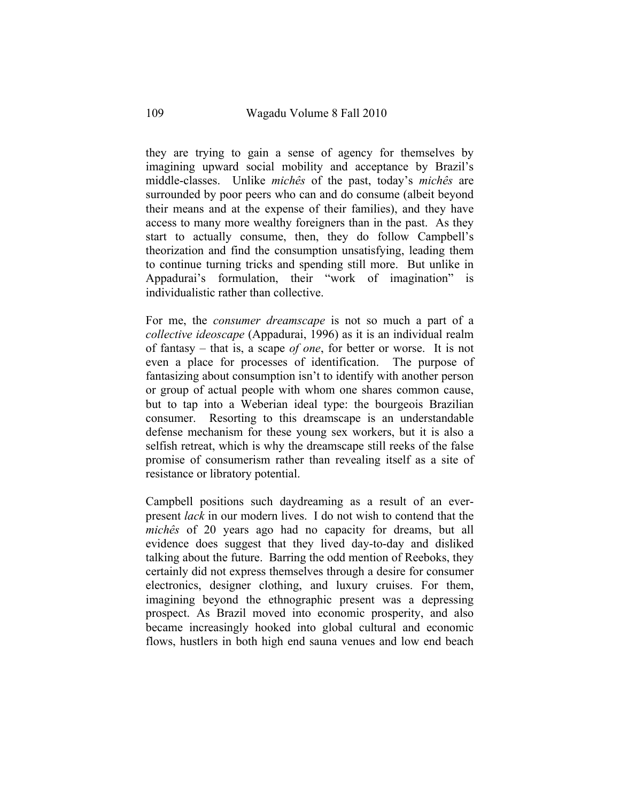they are trying to gain a sense of agency for themselves by imagining upward social mobility and acceptance by Brazil's middle-classes. Unlike *michês* of the past, today's *michês* are surrounded by poor peers who can and do consume (albeit beyond their means and at the expense of their families), and they have access to many more wealthy foreigners than in the past. As they start to actually consume, then, they do follow Campbell's theorization and find the consumption unsatisfying, leading them to continue turning tricks and spending still more. But unlike in Appadurai's formulation, their "work of imagination" is individualistic rather than collective.

For me, the *consumer dreamscape* is not so much a part of a *collective ideoscape* (Appadurai, 1996) as it is an individual realm of fantasy – that is, a scape *of one*, for better or worse. It is not even a place for processes of identification. The purpose of fantasizing about consumption isn't to identify with another person or group of actual people with whom one shares common cause, but to tap into a Weberian ideal type: the bourgeois Brazilian consumer. Resorting to this dreamscape is an understandable defense mechanism for these young sex workers, but it is also a selfish retreat, which is why the dreamscape still reeks of the false promise of consumerism rather than revealing itself as a site of resistance or libratory potential.

Campbell positions such daydreaming as a result of an everpresent *lack* in our modern lives. I do not wish to contend that the *michês* of 20 years ago had no capacity for dreams, but all evidence does suggest that they lived day-to-day and disliked talking about the future. Barring the odd mention of Reeboks, they certainly did not express themselves through a desire for consumer electronics, designer clothing, and luxury cruises. For them, imagining beyond the ethnographic present was a depressing prospect. As Brazil moved into economic prosperity, and also became increasingly hooked into global cultural and economic flows, hustlers in both high end sauna venues and low end beach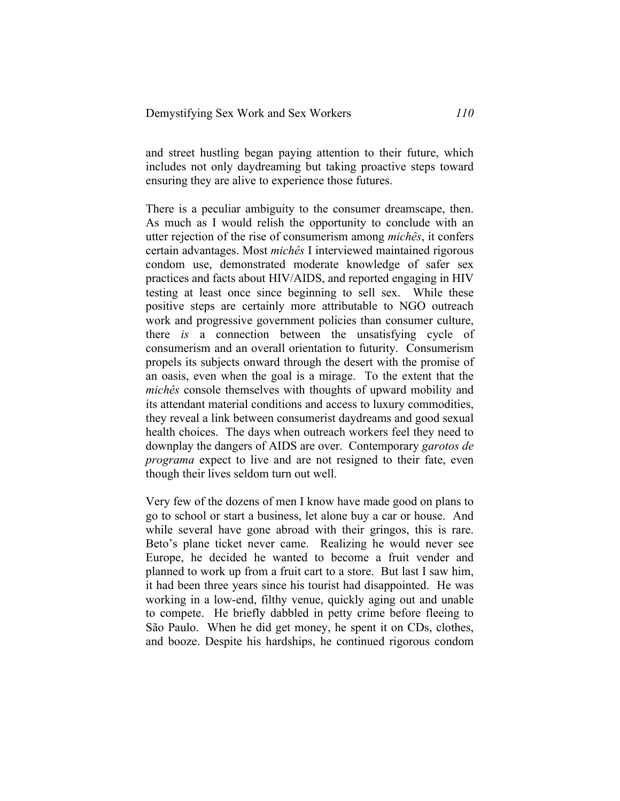and street hustling began paying attention to their future, which includes not only daydreaming but taking proactive steps toward ensuring they are alive to experience those futures.

There is a peculiar ambiguity to the consumer dreamscape, then. As much as I would relish the opportunity to conclude with an utter rejection of the rise of consumerism among *michês*, it confers certain advantages. Most *michês* I interviewed maintained rigorous condom use, demonstrated moderate knowledge of safer sex practices and facts about HIV/AIDS, and reported engaging in HIV testing at least once since beginning to sell sex. While these positive steps are certainly more attributable to NGO outreach work and progressive government policies than consumer culture, there *is* a connection between the unsatisfying cycle of consumerism and an overall orientation to futurity. Consumerism propels its subjects onward through the desert with the promise of an oasis, even when the goal is a mirage. To the extent that the *michês* console themselves with thoughts of upward mobility and its attendant material conditions and access to luxury commodities, they reveal a link between consumerist daydreams and good sexual health choices. The days when outreach workers feel they need to downplay the dangers of AIDS are over. Contemporary *garotos de programa* expect to live and are not resigned to their fate, even though their lives seldom turn out well.

Very few of the dozens of men I know have made good on plans to go to school or start a business, let alone buy a car or house. And while several have gone abroad with their gringos, this is rare. Beto's plane ticket never came. Realizing he would never see Europe, he decided he wanted to become a fruit vender and planned to work up from a fruit cart to a store. But last I saw him, it had been three years since his tourist had disappointed. He was working in a low-end, filthy venue, quickly aging out and unable to compete. He briefly dabbled in petty crime before fleeing to São Paulo. When he did get money, he spent it on CDs, clothes, and booze. Despite his hardships, he continued rigorous condom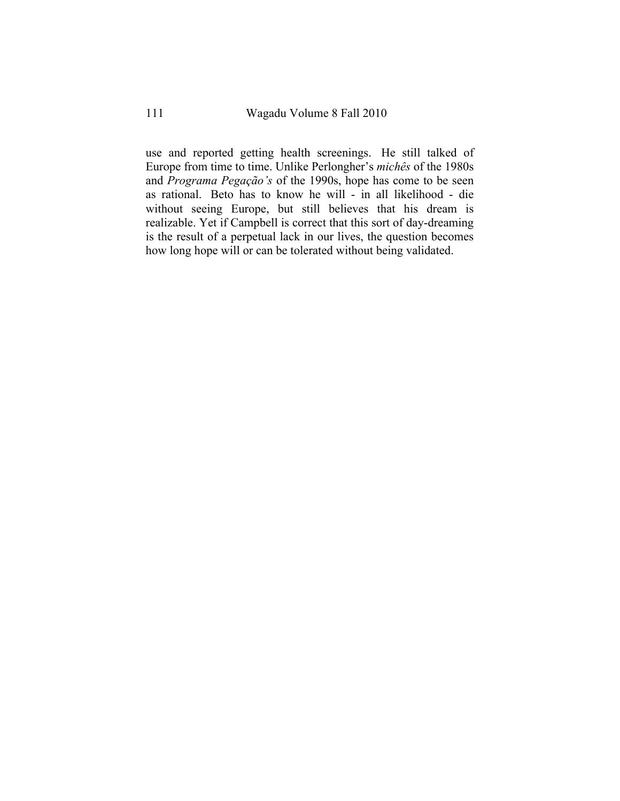use and reported getting health screenings. He still talked of Europe from time to time. Unlike Perlongher's *michês* of the 1980s and *Programa Pegação's* of the 1990s, hope has come to be seen as rational. Beto has to know he will - in all likelihood - die without seeing Europe, but still believes that his dream is realizable. Yet if Campbell is correct that this sort of day-dreaming is the result of a perpetual lack in our lives, the question becomes how long hope will or can be tolerated without being validated.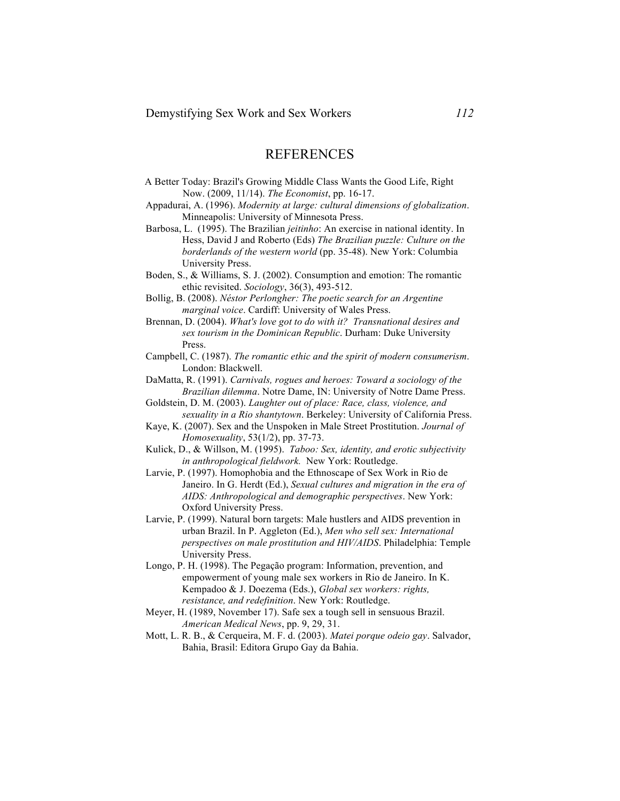## REFERENCES

- A Better Today: Brazil's Growing Middle Class Wants the Good Life, Right Now. (2009, 11/14). *The Economist*, pp. 16-17.
- Appadurai, A. (1996). *Modernity at large: cultural dimensions of globalization*. Minneapolis: University of Minnesota Press.
- Barbosa, L. (1995). The Brazilian *jeitinho*: An exercise in national identity. In Hess, David J and Roberto (Eds) *The Brazilian puzzle: Culture on the borderlands of the western world* (pp. 35-48). New York: Columbia University Press.
- Boden, S., & Williams, S. J. (2002). Consumption and emotion: The romantic ethic revisited. *Sociology*, 36(3), 493-512.
- Bollig, B. (2008). *Néstor Perlongher: The poetic search for an Argentine marginal voice*. Cardiff: University of Wales Press.
- Brennan, D. (2004). *What's love got to do with it? Transnational desires and sex tourism in the Dominican Republic*. Durham: Duke University Press.
- Campbell, C. (1987). *The romantic ethic and the spirit of modern consumerism*. London: Blackwell.
- DaMatta, R. (1991). *Carnivals, rogues and heroes: Toward a sociology of the Brazilian dilemma*. Notre Dame, IN: University of Notre Dame Press.
- Goldstein, D. M. (2003). *Laughter out of place: Race, class, violence, and sexuality in a Rio shantytown*. Berkeley: University of California Press.
- Kaye, K. (2007). Sex and the Unspoken in Male Street Prostitution. *Journal of Homosexuality*, 53(1/2), pp. 37-73.
- Kulick, D., & Willson, M. (1995). *Taboo: Sex, identity, and erotic subjectivity in anthropological fieldwork.* New York: Routledge.
- Larvie, P. (1997). Homophobia and the Ethnoscape of Sex Work in Rio de Janeiro. In G. Herdt (Ed.), *Sexual cultures and migration in the era of AIDS: Anthropological and demographic perspectives*. New York: Oxford University Press.
- Larvie, P. (1999). Natural born targets: Male hustlers and AIDS prevention in urban Brazil. In P. Aggleton (Ed.), *Men who sell sex: International perspectives on male prostitution and HIV/AIDS*. Philadelphia: Temple University Press.
- Longo, P. H. (1998). The Pegação program: Information, prevention, and empowerment of young male sex workers in Rio de Janeiro. In K. Kempadoo & J. Doezema (Eds.), *Global sex workers: rights, resistance, and redefinition*. New York: Routledge.
- Meyer, H. (1989, November 17). Safe sex a tough sell in sensuous Brazil. *American Medical News*, pp. 9, 29, 31.
- Mott, L. R. B., & Cerqueira, M. F. d. (2003). *Matei porque odeio gay*. Salvador, Bahia, Brasil: Editora Grupo Gay da Bahia.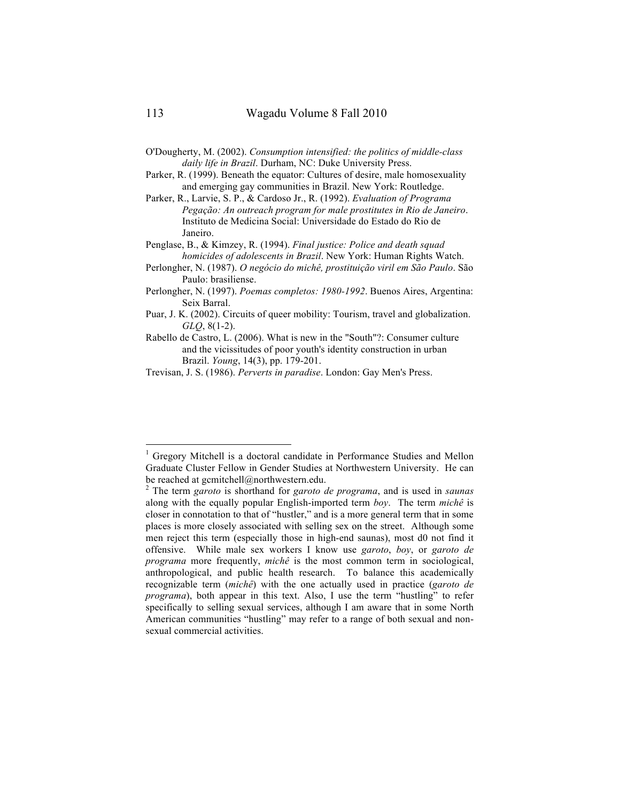- O'Dougherty, M. (2002). *Consumption intensified: the politics of middle-class daily life in Brazil*. Durham, NC: Duke University Press.
- Parker, R. (1999). Beneath the equator: Cultures of desire, male homosexuality and emerging gay communities in Brazil. New York: Routledge.
- Parker, R., Larvie, S. P., & Cardoso Jr., R. (1992). *Evaluation of Programa Pegação: An outreach program for male prostitutes in Rio de Janeiro*. Instituto de Medicina Social: Universidade do Estado do Rio de Janeiro.

Penglase, B., & Kimzey, R. (1994). *Final justice: Police and death squad homicides of adolescents in Brazil*. New York: Human Rights Watch.

- Perlongher, N. (1987). *O negócio do michê, prostituição viril em São Paulo*. São Paulo: brasiliense.
- Perlongher, N. (1997). *Poemas completos: 1980-1992*. Buenos Aires, Argentina: Seix Barral.
- Puar, J. K. (2002). Circuits of queer mobility: Tourism, travel and globalization. *GLQ*, 8(1-2).
- Rabello de Castro, L. (2006). What is new in the "South"?: Consumer culture and the vicissitudes of poor youth's identity construction in urban Brazil. *Young*, 14(3), pp. 179-201.
- Trevisan, J. S. (1986). *Perverts in paradise*. London: Gay Men's Press.

 <sup>1</sup> Gregory Mitchell is a doctoral candidate in Performance Studies and Mellon Graduate Cluster Fellow in Gender Studies at Northwestern University. He can be reached at gcmitchell@northwestern.edu.

<sup>2</sup> The term *garoto* is shorthand for *garoto de programa*, and is used in *saunas*  along with the equally popular English-imported term *boy*. The term *michê* is closer in connotation to that of "hustler," and is a more general term that in some places is more closely associated with selling sex on the street. Although some men reject this term (especially those in high-end saunas), most d0 not find it offensive. While male sex workers I know use *garoto*, *boy*, or *garoto de programa* more frequently, *michê* is the most common term in sociological, anthropological, and public health research. To balance this academically recognizable term (*michê*) with the one actually used in practice (*garoto de programa*), both appear in this text. Also, I use the term "hustling" to refer specifically to selling sexual services, although I am aware that in some North American communities "hustling" may refer to a range of both sexual and nonsexual commercial activities.